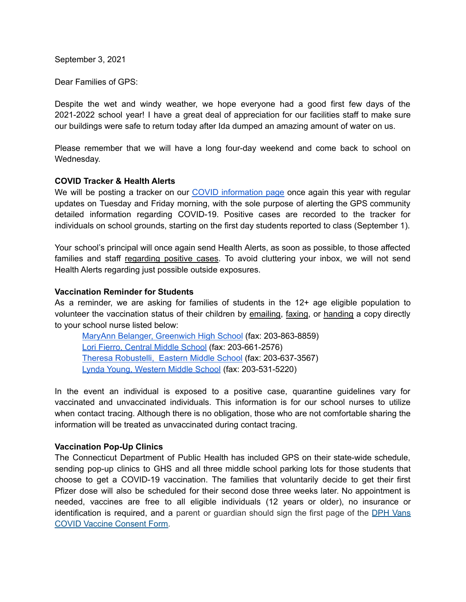September 3, 2021

Dear Families of GPS:

Despite the wet and windy weather, we hope everyone had a good first few days of the 2021-2022 school year! I have a great deal of appreciation for our facilities staff to make sure our buildings were safe to return today after Ida dumped an amazing amount of water on us.

Please remember that we will have a long four-day weekend and come back to school on Wednesday.

### **COVID Tracker & Health Alerts**

We will be posting a tracker on our COVID [information](https://www.greenwichschools.org/teaching-learning/student-support-services/health-services/covid-19) page once again this year with regular updates on Tuesday and Friday morning, with the sole purpose of alerting the GPS community detailed information regarding COVID-19. Positive cases are recorded to the tracker for individuals on school grounds, starting on the first day students reported to class (September 1).

Your school's principal will once again send Health Alerts, as soon as possible, to those affected families and staff regarding positive cases. To avoid cluttering your inbox, we will not send Health Alerts regarding just possible outside exposures.

### **Vaccination Reminder for Students**

As a reminder, we are asking for families of students in the 12+ age eligible population to volunteer the vaccination status of their children by emailing, faxing, or handing a copy directly to your school nurse listed below:

MaryAnn Belanger, [Greenwich](mailto:maryann_belanger@greenwich.k12.ct.us) High School (fax: 203-863-8859) Lori Fierro, [Central](mailto:Lori_Fierro@greenwich.k12.ct.us) Middle School (fax: 203-661-2576) Theresa [Robustelli,](mailto:theresa_robustelli@greenwich.k12.ct.us) Eastern Middle School (fax: 203-637-3567) Lynda Young, [Western](mailto:lynda_young@greenwich.k12.ct.us) Middle School (fax: 203-531-5220)

In the event an individual is exposed to a positive case, quarantine guidelines vary for vaccinated and unvaccinated individuals. This information is for our school nurses to utilize when contact tracing. Although there is no obligation, those who are not comfortable sharing the information will be treated as unvaccinated during contact tracing.

## **Vaccination Pop-Up Clinics**

The Connecticut Department of Public Health has included GPS on their state-wide schedule, sending pop-up clinics to GHS and all three middle school parking lots for those students that choose to get a COVID-19 vaccination. The families that voluntarily decide to get their first Pfizer dose will also be scheduled for their second dose three weeks later. No appointment is needed, vaccines are free to all eligible individuals (12 years or older), no insurance or identification is required, and a parent or guardian should sign the first page of the DPH [Vans](https://portal.ct.gov/vaccine-portal/-/media/Coronavirus/DPH-Vans/COVID-vaccine-intake-form-ALL.docx) COVID Vaccine [Consent](https://portal.ct.gov/vaccine-portal/-/media/Coronavirus/DPH-Vans/COVID-vaccine-intake-form-ALL.docx) Form.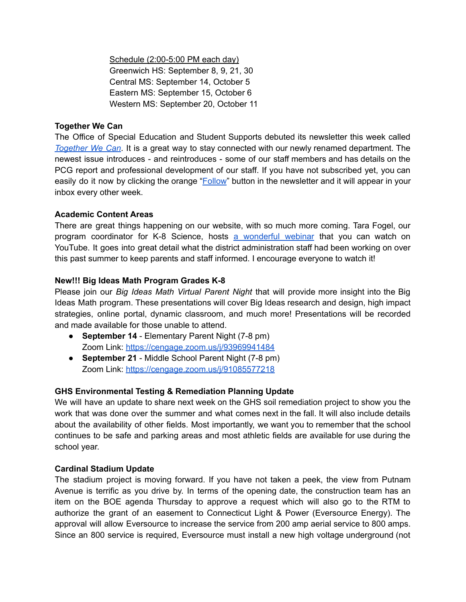Schedule (2:00-5:00 PM each day) Greenwich HS: September 8, 9, 21, 30 Central MS: September 14, October 5 Eastern MS: September 15, October 6 Western MS: September 20, October 11

# **Together We Can**

The Office of Special Education and Student Supports debuted its newsletter this week called *[Together](https://www.smore.com/h6rqe) We Can*. It is a great way to stay connected with our newly renamed department. The newest issue introduces - and reintroduces - some of our staff members and has details on the PCG report and professional development of our staff. If you have not subscribed yet, you can easily do it now by clicking the orange "**Follow**" button in the newsletter and it will appear in your inbox every other week.

## **Academic Content Areas**

There are great things happening on our website, with so much more coming. Tara Fogel, our program coordinator for K-8 Science, hosts a [wonderful](https://www.youtube.com/watch?v=n7d8oJSTE-M) webinar that you can watch on YouTube. It goes into great detail what the district administration staff had been working on over this past summer to keep parents and staff informed. I encourage everyone to watch it!

## **New!!! Big Ideas Math Program Grades K-8**

Please join our *Big Ideas Math Virtual Parent Night* that will provide more insight into the Big Ideas Math program. These presentations will cover Big Ideas research and design, high impact strategies, online portal, dynamic classroom, and much more! Presentations will be recorded and made available for those unable to attend.

- **September 14** Elementary Parent Night (7-8 pm) Zoom Link: <https://cengage.zoom.us/j/93969941484>
- **September 21** Middle School Parent Night (7-8 pm) Zoom Link: <https://cengage.zoom.us/j/91085577218>

## **GHS Environmental Testing & Remediation Planning Update**

We will have an update to share next week on the GHS soil remediation project to show you the work that was done over the summer and what comes next in the fall. It will also include details about the availability of other fields. Most importantly, we want you to remember that the school continues to be safe and parking areas and most athletic fields are available for use during the school year.

## **Cardinal Stadium Update**

The stadium project is moving forward. If you have not taken a peek, the view from Putnam Avenue is terrific as you drive by. In terms of the opening date, the construction team has an item on the BOE agenda Thursday to approve a request which will also go to the RTM to authorize the grant of an easement to Connecticut Light & Power (Eversource Energy). The approval will allow Eversource to increase the service from 200 amp aerial service to 800 amps. Since an 800 service is required, Eversource must install a new high voltage underground (not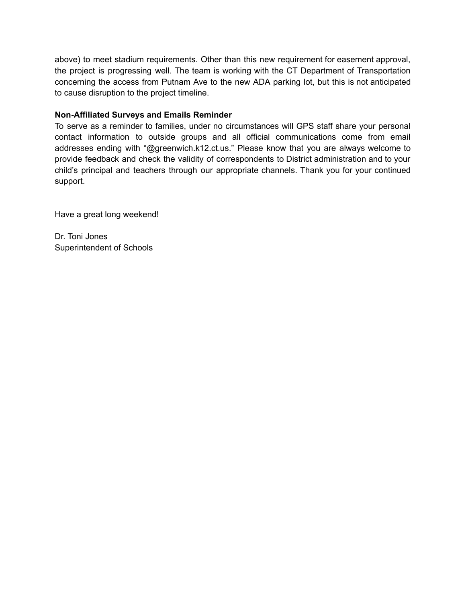above) to meet stadium requirements. Other than this new requirement for easement approval, the project is progressing well. The team is working with the CT Department of Transportation concerning the access from Putnam Ave to the new ADA parking lot, but this is not anticipated to cause disruption to the project timeline.

# **Non-Affiliated Surveys and Emails Reminder**

To serve as a reminder to families, under no circumstances will GPS staff share your personal contact information to outside groups and all official communications come from email addresses ending with "@greenwich.k12.ct.us." Please know that you are always welcome to provide feedback and check the validity of correspondents to District administration and to your child's principal and teachers through our appropriate channels. Thank you for your continued support.

Have a great long weekend!

Dr. Toni Jones Superintendent of Schools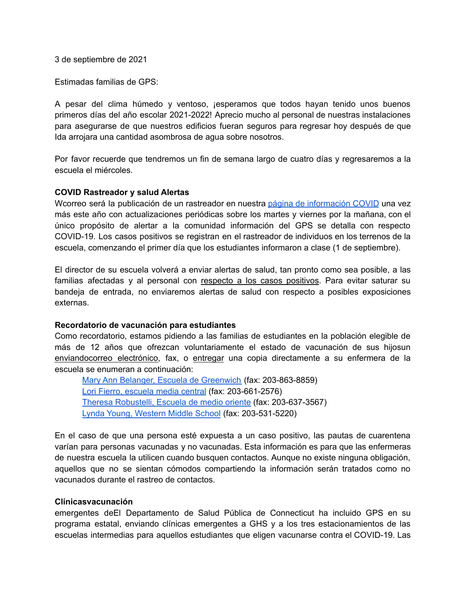3 de septiembre de 2021

Estimadas familias de GPS:

A pesar del clima húmedo y ventoso, ¡esperamos que todos hayan tenido unos buenos primeros días del año escolar 2021-2022! Aprecio mucho al personal de nuestras instalaciones para asegurarse de que nuestros edificios fueran seguros para regresar hoy después de que Ida arrojara una cantidad asombrosa de agua sobre nosotros.

Por favor recuerde que tendremos un fin de semana largo de cuatro días y regresaremos a la escuela el miércoles.

#### **COVID Rastreador y salud Alertas**

Wcorreo será la publicación de un rastreador en nuestra página de [información](https://www.greenwichschools.org/teaching-learning/student-support-services/health-services/covid-19) COVID una vez más este año con actualizaciones periódicas sobre los martes y viernes por la mañana, con el único propósito de alertar a la comunidad información del GPS se detalla con respecto COVID-19. Los casos positivos se registran en el rastreador de individuos en los terrenos de la escuela, comenzando el primer día que los estudiantes informaron a clase (1 de septiembre).

El director de su escuela volverá a enviar alertas de salud, tan pronto como sea posible, a las familias afectadas y al personal con respecto a los casos positivos. Para evitar saturar su bandeja de entrada, no enviaremos alertas de salud con respecto a posibles exposiciones externas.

#### **Recordatorio de vacunación para estudiantes**

Como recordatorio, estamos pidiendo a las familias de estudiantes en la población elegible de más de 12 años que ofrezcan voluntariamente el estado de vacunación de sus hijosun enviandocorreo electrónico, fax, o entregar una copia directamente a su enfermera de la escuela se enumeran a continuación:

Mary Ann Belanger, Escuela de [Greenwich](mailto:maryann_belanger@greenwich.k12.ct.us) (fax: 203-863-8859) Lori Fierro, [escuela](mailto:Lori_Fierro@greenwich.k12.ct.us) media central (fax: 203-661-2576) Theresa [Robustelli,](mailto:theresa_robustelli@greenwich.k12.ct.us) Escuela de medio oriente (fax: 203-637-3567) Lynda Young, [Western](mailto:lynda_young@greenwich.k12.ct.us) Middle School (fax: 203-531-5220)

En el caso de que una persona esté expuesta a un caso positivo, las pautas de cuarentena varían para personas vacunadas y no vacunadas. Esta información es para que las enfermeras de nuestra escuela la utilicen cuando busquen contactos. Aunque no existe ninguna obligación, aquellos que no se sientan cómodos compartiendo la información serán tratados como no vacunados durante el rastreo de contactos.

#### **Clínicasvacunación**

emergentes deEl Departamento de Salud Pública de Connecticut ha incluido GPS en su programa estatal, enviando clínicas emergentes a GHS y a los tres estacionamientos de las escuelas intermedias para aquellos estudiantes que eligen vacunarse contra el COVID-19. Las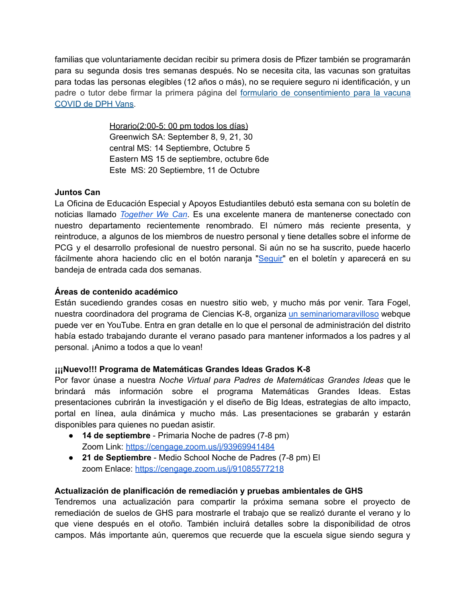familias que voluntariamente decidan recibir su primera dosis de Pfizer también se programarán para su segunda dosis tres semanas después. No se necesita cita, las vacunas son gratuitas para todas las personas elegibles (12 años o más), no se requiere seguro ni identificación, y un padre o tutor debe firmar la primera página del formulario de [consentimiento](https://portal.ct.gov/vaccine-portal/-/media/Coronavirus/DPH-Vans/COVID-vaccine-intake-form-ALL.docx) para la vacuna [COVID](https://portal.ct.gov/vaccine-portal/-/media/Coronavirus/DPH-Vans/COVID-vaccine-intake-form-ALL.docx) de DPH Vans.

> Horario(2:00-5: 00 pm todos los días) Greenwich SA: September 8, 9, 21, 30 central MS: 14 Septiembre, Octubre 5 Eastern MS 15 de septiembre, octubre 6de Este MS: 20 Septiembre, 11 de Octubre

# **Juntos Can**

La Oficina de Educación Especial y Apoyos Estudiantiles debutó esta semana con su boletín de noticias llamado *[Together](https://www.smore.com/h6rqe) We Can*. Es una excelente manera de mantenerse conectado con nuestro departamento recientemente renombrado. El número más reciente presenta, y reintroduce, a algunos de los miembros de nuestro personal y tiene detalles sobre el informe de PCG y el desarrollo profesional de nuestro personal. Si aún no se ha suscrito, puede hacerlo fácilmente ahora haciendo clic en el botón naranja "[Seguir"](https://www.smore.com/h6rqe) en el boletín y aparecerá en su bandeja de entrada cada dos semanas.

# **Áreas de contenido académico**

Están sucediendo grandes cosas en nuestro sitio web, y mucho más por venir. Tara Fogel, nuestra coordinadora del programa de Ciencias K-8, organiza un [seminariomaravilloso](https://www.youtube.com/watch?v=n7d8oJSTE-M) webque puede ver en YouTube. Entra en gran detalle en lo que el personal de administración del distrito había estado trabajando durante el verano pasado para mantener informados a los padres y al personal. ¡Animo a todos a que lo vean!

## **¡¡¡Nuevo!!! Programa de Matemáticas Grandes Ideas Grados K-8**

Por favor únase a nuestra *Noche Virtual para Padres de Matemáticas Grandes Ideas* que le brindará más información sobre el programa Matemáticas Grandes Ideas. Estas presentaciones cubrirán la investigación y el diseño de Big Ideas, estrategias de alto impacto, portal en línea, aula dinámica y mucho más. Las presentaciones se grabarán y estarán disponibles para quienes no puedan asistir.

- **14 de septiembre** Primaria Noche de padres (7-8 pm) Zoom Link: <https://cengage.zoom.us/j/93969941484>
- **21 de Septiembre** Medio School Noche de Padres (7-8 pm) El zoom Enlace: <https://cengage.zoom.us/j/91085577218>

# **Actualización de planificación de remediación y pruebas ambientales de GHS**

Tendremos una actualización para compartir la próxima semana sobre el proyecto de remediación de suelos de GHS para mostrarle el trabajo que se realizó durante el verano y lo que viene después en el otoño. También incluirá detalles sobre la disponibilidad de otros campos. Más importante aún, queremos que recuerde que la escuela sigue siendo segura y